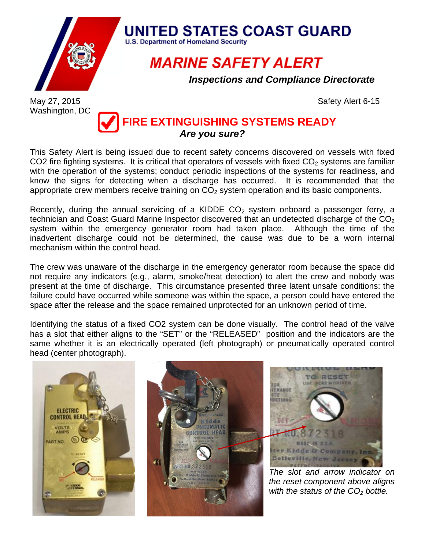

## **UNITED STATES COAST GUARD**

**U.S. Department of Homeland Security** 

**MARINE SAFETY ALERT** 

*Inspections and Compliance Directorate*

Washington, DC

May 27, 2015 **Safety Alert 6-15** 

## **FIRE EXTINGUISHING SYSTEMS READY** *Are you sure?*

This Safety Alert is being issued due to recent safety concerns discovered on vessels with fixed CO2 fire fighting systems. It is critical that operators of vessels with fixed  $CO<sub>2</sub>$  systems are familiar with the operation of the systems; conduct periodic inspections of the systems for readiness, and know the signs for detecting when a discharge has occurred. It is recommended that the appropriate crew members receive training on  $CO<sub>2</sub>$  system operation and its basic components.

Recently, during the annual servicing of a KIDDE  $CO<sub>2</sub>$  system onboard a passenger ferry, a technician and Coast Guard Marine Inspector discovered that an undetected discharge of the  $CO<sub>2</sub>$ system within the emergency generator room had taken place. Although the time of the inadvertent discharge could not be determined, the cause was due to be a worn internal mechanism within the control head.

The crew was unaware of the discharge in the emergency generator room because the space did not require any indicators (e.g., alarm, smoke/heat detection) to alert the crew and nobody was present at the time of discharge. This circumstance presented three latent unsafe conditions: the failure could have occurred while someone was within the space, a person could have entered the space after the release and the space remained unprotected for an unknown period of time.

Identifying the status of a fixed CO2 system can be done visually. The control head of the valve has a slot that either aligns to the "SET" or the "RELEASED" position and the indicators are the same whether it is an electrically operated (left photograph) or pneumatically operated control head (center photograph).